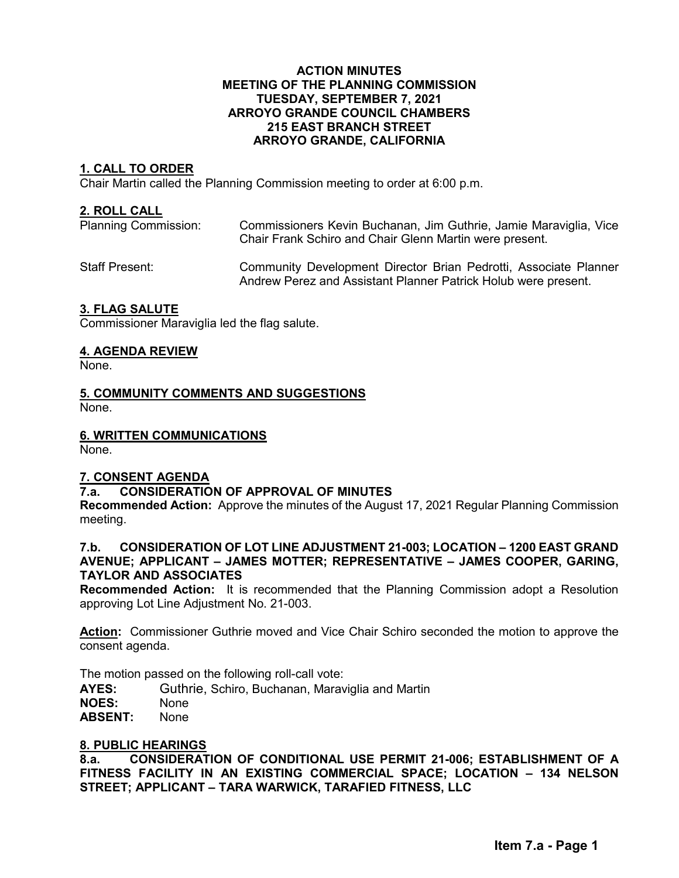#### **ACTION MINUTES MEETING OF THE PLANNING COMMISSION TUESDAY, SEPTEMBER 7, 2021 ARROYO GRANDE COUNCIL CHAMBERS 215 EAST BRANCH STREET ARROYO GRANDE, CALIFORNIA**

# **1. CALL TO ORDER**

Chair Martin called the Planning Commission meeting to order at 6:00 p.m.

#### **2. ROLL CALL**

Planning Commission: Commissioners Kevin Buchanan, Jim Guthrie, Jamie Maraviglia, Vice Chair Frank Schiro and Chair Glenn Martin were present.

Staff Present: Community Development Director Brian Pedrotti, Associate Planner Andrew Perez and Assistant Planner Patrick Holub were present.

## **3. FLAG SALUTE**

Commissioner Maraviglia led the flag salute.

## **4. AGENDA REVIEW**

None.

**5. COMMUNITY COMMENTS AND SUGGESTIONS** None.

### **6. WRITTEN COMMUNICATIONS**

None.

# **7. CONSENT AGENDA**

# **7.a. CONSIDERATION OF APPROVAL OF MINUTES**

**Recommended Action:** Approve the minutes of the August 17, 2021 Regular Planning Commission meeting.

#### **7.b. CONSIDERATION OF LOT LINE ADJUSTMENT 21-003; LOCATION – 1200 EAST GRAND AVENUE; APPLICANT – JAMES MOTTER; REPRESENTATIVE – JAMES COOPER, GARING, TAYLOR AND ASSOCIATES**

**Recommended Action:** It is recommended that the Planning Commission adopt a Resolution approving Lot Line Adjustment No. 21-003.

**Action:** Commissioner Guthrie moved and Vice Chair Schiro seconded the motion to approve the consent agenda.

The motion passed on the following roll-call vote:

**AYES:** Guthrie, Schiro, Buchanan, Maraviglia and Martin

**NOES:** None

**ABSENT:** None

# **8. PUBLIC HEARINGS**

**8.a. CONSIDERATION OF CONDITIONAL USE PERMIT 21-006; ESTABLISHMENT OF A FITNESS FACILITY IN AN EXISTING COMMERCIAL SPACE; LOCATION – 134 NELSON STREET; APPLICANT – TARA WARWICK, TARAFIED FITNESS, LLC**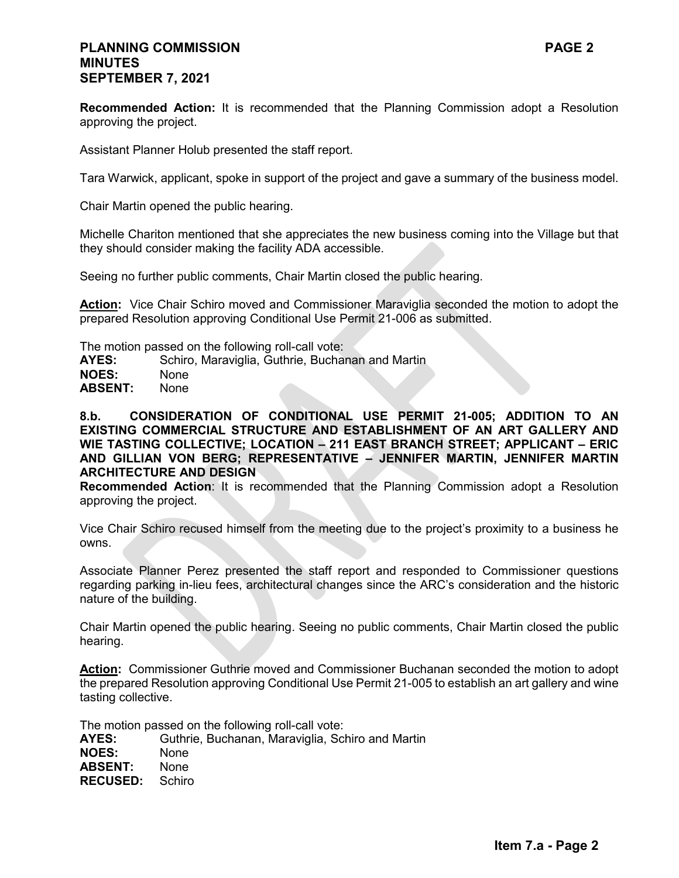# **PLANNING COMMISSION PAGE 2 MINUTES SEPTEMBER 7, 2021**

**Recommended Action:** It is recommended that the Planning Commission adopt a Resolution approving the project.

Assistant Planner Holub presented the staff report.

Tara Warwick, applicant, spoke in support of the project and gave a summary of the business model.

Chair Martin opened the public hearing.

Michelle Chariton mentioned that she appreciates the new business coming into the Village but that they should consider making the facility ADA accessible.

Seeing no further public comments, Chair Martin closed the public hearing.

Action: Vice Chair Schiro moved and Commissioner Maraviglia seconded the motion to adopt the prepared Resolution approving Conditional Use Permit 21-006 as submitted.

The motion passed on the following roll-call vote:

AYES: Schiro, Maraviglia, Guthrie, Buchanan and Martin

**NOES:** None<br>**ABSENT:** None ABSENT:

**8.b. CONSIDERATION OF CONDITIONAL USE PERMIT 21-005; ADDITION TO AN EXISTING COMMERCIAL STRUCTURE AND ESTABLISHMENT OF AN ART GALLERY AND WIE TASTING COLLECTIVE; LOCATION – 211 EAST BRANCH STREET; APPLICANT – ERIC AND GILLIAN VON BERG; REPRESENTATIVE – JENNIFER MARTIN, JENNIFER MARTIN ARCHITECTURE AND DESIGN**

**Recommended Action**: It is recommended that the Planning Commission adopt a Resolution approving the project.

Vice Chair Schiro recused himself from the meeting due to the project's proximity to a business he owns.

Associate Planner Perez presented the staff report and responded to Commissioner questions regarding parking in-lieu fees, architectural changes since the ARC's consideration and the historic nature of the building.

Chair Martin opened the public hearing. Seeing no public comments, Chair Martin closed the public hearing.

**Action:** Commissioner Guthrie moved and Commissioner Buchanan seconded the motion to adopt the prepared Resolution approving Conditional Use Permit 21-005 to establish an art gallery and wine tasting collective.

The motion passed on the following roll-call vote:

**AYES:** Guthrie, Buchanan, Maraviglia, Schiro and Martin **NOES:** None **ABSENT:** None **RECUSED:** Schiro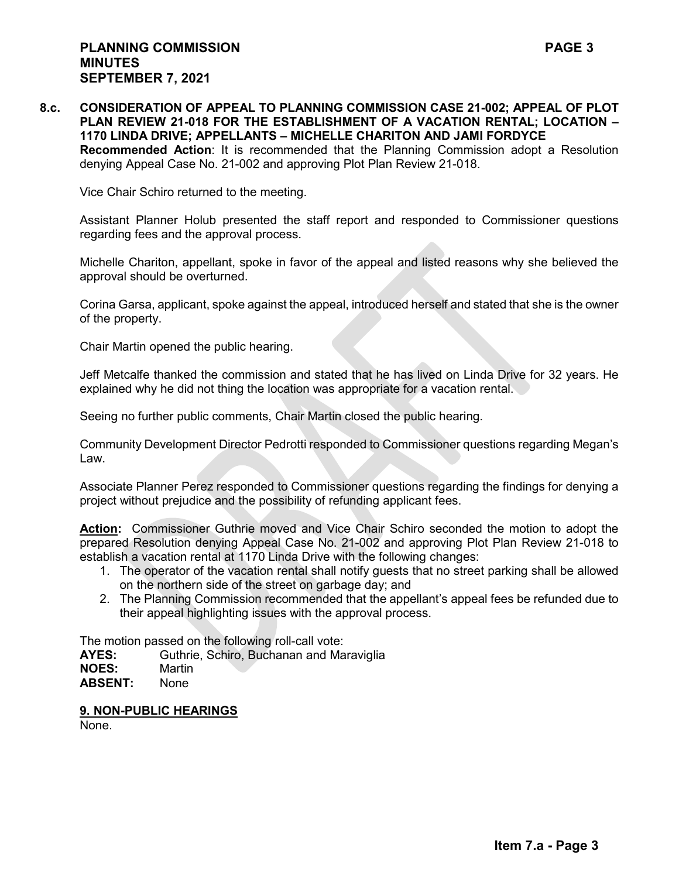Vice Chair Schiro returned to the meeting.

Assistant Planner Holub presented the staff report and responded to Commissioner questions regarding fees and the approval process.

Michelle Chariton, appellant, spoke in favor of the appeal and listed reasons why she believed the approval should be overturned.

Corina Garsa, applicant, spoke against the appeal, introduced herself and stated that she is the owner of the property.

Chair Martin opened the public hearing.

Jeff Metcalfe thanked the commission and stated that he has lived on Linda Drive for 32 years. He explained why he did not thing the location was appropriate for a vacation rental.

Seeing no further public comments, Chair Martin closed the public hearing.

Community Development Director Pedrotti responded to Commissioner questions regarding Megan's Law.

Associate Planner Perez responded to Commissioner questions regarding the findings for denying a project without prejudice and the possibility of refunding applicant fees.

**Action:** Commissioner Guthrie moved and Vice Chair Schiro seconded the motion to adopt the prepared Resolution denying Appeal Case No. 21-002 and approving Plot Plan Review 21-018 to establish a vacation rental at 1170 Linda Drive with the following changes:

- 1. The operator of the vacation rental shall notify guests that no street parking shall be allowed on the northern side of the street on garbage day; and
- 2. The Planning Commission recommended that the appellant's appeal fees be refunded due to their appeal highlighting issues with the approval process.

The motion passed on the following roll-call vote:

**AYES:** Guthrie, Schiro, Buchanan and Maraviglia

**NOES:** Martin

**ABSENT:** None

**9. NON-PUBLIC HEARINGS** 

None.